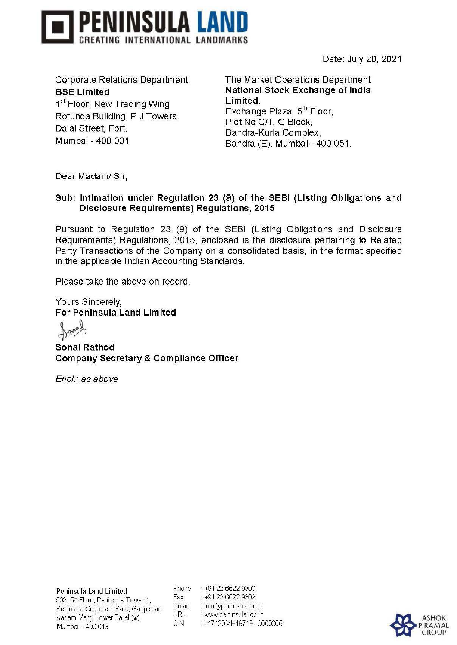

Date: July 20, 2021

Corporate Relations Department BSE Limited 1<sup>st</sup> Floor, New Trading Wing Rotunda Building, P J Towers Dalal Street, Fort, Mumbai- 400 001

## The Market Operations Department National Stock Exchange of India Limited, Exchange Plaza, 5<sup>th</sup> Floor, Plot No C/1, G Block, Bandra-Kurla Complex, Sandra (E), Mumbai- 400 051.

Dear Madam/ Sir,

# Sub: Intimation under Regulation 23 (9) of the SEBI (Listing Obligations and Disclosure Requirements) Regulations, 2015

Pursuant to Regulation 23 (9) of the SEBI (Listing Obligations and Disclosure Requirements) Regulations, 2015, enclosed is the disclosure pertaining to Related Party Transactions of the Company on a consolidated basis, in the format specified in the applicable Indian Accounting Standards.

Please take the above on record.

Yours Sincerely, For Peninsula Land Limited

Sonal Rathod Company Secretary & Compliance Officer

Encl.: as above

Phone : +91 22 6622 9300 Fax • +91 22 6622 9302 Email • : info@peninsula.co.in<br>URL • : www.peninsula.co.in : www.peninsula .co.in CIN : L17120MH1871PLC000005

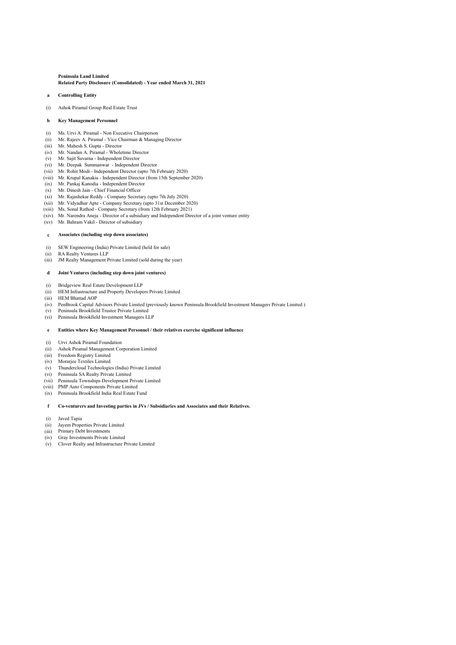### Peninsula Land Limited Related Party Disclosure (Consolidated) - Year ended March 31, 2021

## a Controlling Entity

(i) Ashok Piramal Group Real Estate Trust

### b Key Management Personnel

- 
- (i) Ms. Urvi A. Piramal Non Executive Chairperson<br>(ii) Mr. Rajeev A. Piramal Vice Chairman & Managi Mr. Rajeev A. Piramal - Vice Chairman & Managing Director
- (iii) Mr. Mahesh S. Gupta Director
- (iv) Mr. Nandan A. Piramal Wholetime Director
- (v) Mr. Sajit Suvarna Independent Director
- (vi) Mr. Deepak Summanwar Independent Director
- (vii) Mr. Rohit Modi Independent Director (upto 7th February 2020)
- (viii) Mr. Krupal Kanakia Independent Director (from 15th September 2020)
- (ix) Mr. Pankaj Kanodia Independent Director  $(x)$  Mr. Dinesh Jain - Chief Financial Officer
- 
- (xi) Mr. Rajashekar Reddy Company Secretary (upto 7th July 2020) (xii) Mr. Vidyadhar Apte - Company Secretary (upto 31st December 2020)
- (xiii) Ms. Sonal Rathod Company Secretary (from 12th February 2021)
- (xiv) Mr. Narendra Aneja Director of a subsidiary and Independent Director of a joint venture entity
- (xv) Mr. Bahram Vakil Director of subsidiary

## c Associates (including step down associates)

- (i) SEW Engineering (India) Private Limited (held for sale)
- (ii) RA Realty Ventures LLP
- (iii) JM Realty Management Private Limited (sold during the year)

## d Joint Ventures (including step down joint ventures)

- (i) Bridgeview Real Estate Development LLP<br>(ii) HEM Infrastructure and Property Develope
- (ii) HEM Infrastructure and Property Developers Private Limited<br>(iii) HEM Bhattad AOP
- HEM Bhattad AOP
- (iv) PenBrook Capital Advisors Private Limited (previously known Peninsula Brookfield Investment Managers Private Limited )
- (v) Peninsula Brookfield Trustee Private Limited
- (vi) Peninsula Brookfield Investment Managers LLP

#### e Entities where Key Management Personnel / their relatives exercise significant influence

- (i) Urvi Ashok Piramal Foundation
- (ii) Ashok Piramal Management Corporation Limited
- (iii) Freedom Registry Limited
- (iv) Morarjee Textiles Limited
- (v) Thundercloud Technologies (India) Private Limited
- (vi) Peninsula SA Realty Private Limited
- (vii) Peninsula Townships Development Private Limited
- (viii) PMP Auto Components Private Limited (ix) Peninsula Brookfield India Real Estate Fund

# f Co-venturers and Investing parties in JVs / Subsidiaries and Associates and their Relatives.

- (i) Javed Tapia
- (ii) Jayem Properties Private Limited
- (iii) Primary Debt Investments
- (iv) Gray Investments Private Limited
- (v) Clover Realty and Infrastructure Private Limited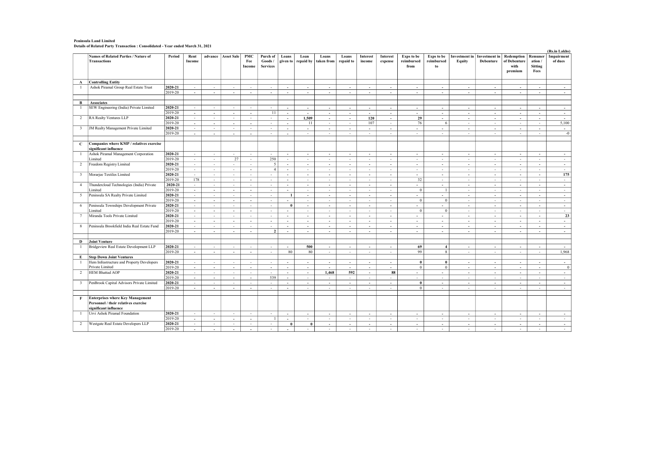#### Peninsula Land Limited Details of Related Party Transaction : Consolidated - Year ended March 31, 2021

|                         | <b>Names of Related Parties / Nature of</b><br>Transactions                                              | Period  | Rent<br>Income              | advance | <b>Asset Sale</b> | PMC<br>Fee<br>Income | Purch of<br>Goods /<br><b>Services</b> | Loans<br>given to | Loan<br>repaid by | Loans<br>taken from | Loans<br>repaid to       | Interest<br>income | Interest<br>expense | Exps to be<br>reimbursed<br>from | Exps to be<br>reimbursed<br>to | Equity | Investment in   Investment in<br>Debenture | Redemption<br>of Debenture<br>with<br>premium | Remuner<br>ation /<br>Sitting<br>Fees | Impairment<br>of dues |
|-------------------------|----------------------------------------------------------------------------------------------------------|---------|-----------------------------|---------|-------------------|----------------------|----------------------------------------|-------------------|-------------------|---------------------|--------------------------|--------------------|---------------------|----------------------------------|--------------------------------|--------|--------------------------------------------|-----------------------------------------------|---------------------------------------|-----------------------|
| $\mathbf{A}$            | <b>Controlling Entity</b>                                                                                |         |                             |         |                   |                      |                                        |                   |                   |                     |                          |                    |                     |                                  |                                |        |                                            |                                               |                                       |                       |
|                         | Ashok Piramal Group Real Estate Trust                                                                    | 2020-21 | ÷.                          | $\sim$  | $\sim$            |                      | $\sim$                                 | $\sim$            | $\sim$            | $\sim$              | $\sim$                   | $\sim$             | $\sim$              | ٠                                | $\sim$                         | $\sim$ | $\sim$                                     | ٠                                             |                                       | $\sim$                |
|                         |                                                                                                          | 2019-20 | $\sim$                      | $\sim$  | $\sim$            | $\sim$               | $\sim$                                 | $\sim$            | $\sim$            | $\sim$              | ÷.                       | $\sim$             | $\sim$              | $\sim$                           | $\sim$                         | $\sim$ | $\sim$                                     | ×.                                            | $\sim$                                | $\sim$                |
|                         |                                                                                                          |         |                             |         |                   |                      |                                        |                   |                   |                     |                          |                    |                     |                                  |                                |        |                                            |                                               |                                       |                       |
| B                       | <b>Associates</b>                                                                                        |         |                             |         |                   |                      |                                        |                   |                   |                     |                          |                    |                     |                                  |                                |        |                                            |                                               |                                       |                       |
|                         | SEW Engineering (India) Private Limited                                                                  | 2020-21 | $\sim$                      | $\sim$  | $\sim$            | $\sim$               | $\sim$                                 | $\sim$            | $\sim$            | $\sim$              | ×.                       | $\sim$             | $\sim$              | ×                                | $\sim$                         | $\sim$ | $\sim$                                     | $\sim$                                        | $\sim$                                | $\sim$                |
|                         |                                                                                                          | 2019-20 | $\sim$                      | $\sim$  | $\sim$            | ×.                   | 11                                     | $\sim$            | ÷.                | ÷.                  | $\sim$                   | ×.                 | $\sim$              | ×                                | $\sim$                         | ٠      | ÷.                                         | ×.                                            | ÷.                                    | $\sim$                |
| $2^{\circ}$             | RA Realty Ventures LLP                                                                                   | 2020-21 | $\sim$                      | $\sim$  | $\sim$            | $\sim$               | $\sim$                                 | $\sim$            | 1,509             | $\sim$              | $\sim$                   | 120                | $\sim$              | 29                               | $\sim$                         | $\sim$ | $\sim$                                     | $\sim$                                        | $\sim$                                | $\sim$                |
|                         |                                                                                                          | 2019-20 | $\sim$                      | $\sim$  | $\sim$            | $\sim$               | $\sim$                                 | $\sim$            | 11                | $\sim$              | $\sim$                   | 107                | $\sim$              | 76                               | -6                             | $\sim$ | $\sim$                                     | $\sim$                                        | $\sim$                                | 5,100                 |
| $\overline{\mathbf{3}}$ | JM Realty Management Private Limited                                                                     | 2020-21 | $\sim$                      | $\sim$  | $\sim$            | $\sim$               | $\sim$                                 | $\sim$            | $\sim$            | $\sim$              | ÷.                       | $\sim$             | $\sim$              | $\sim$                           | $\sim$                         | $\sim$ | $\sim$                                     | ×.                                            | $\sim$                                | $\sim$                |
|                         |                                                                                                          | 2019-20 | $\sim$                      | $\sim$  | $\sim$            | $\sim$               | $\sim$                                 | $\sim$            | $\sim$            | $\sim$              | $\sim$                   | $\sim$             | $\sim$              | $\sim$                           | $\sim$                         | $\sim$ | $\sim$                                     | $\sim$                                        | $\sim$                                | $-0$                  |
|                         |                                                                                                          |         |                             |         |                   |                      |                                        |                   |                   |                     |                          |                    |                     |                                  |                                |        |                                            |                                               |                                       |                       |
| $\mathbf{C}$            | Companies where KMP / relatives exercise<br>significant influence                                        |         |                             |         |                   |                      |                                        |                   |                   |                     |                          |                    |                     |                                  |                                |        |                                            |                                               |                                       |                       |
| -1                      | Ashok Piramal Management Corporation                                                                     | 2020-21 | $\sim$                      | $\sim$  | $\sim$            | ×                    |                                        | ٠                 | $\sim$            | $\sim$              | $\sim$                   | $\sim$             | $\sim$              | ٠                                | $\sim$                         | $\sim$ | $\sim$                                     | ٠                                             | $\sim$                                | $\sim$                |
|                         | Limited                                                                                                  | 2019-20 | $\sim$                      | $\sim$  | 27                | $\sim$               | 250                                    | $\sim$            | $\sim$            | $\sim$              | $\sim$                   | $\sim$             | $\sim$              | $\sim$                           | $\sim$                         | $\sim$ | $\sim$                                     | $\sim$                                        | $\sim$                                | $\sim$                |
| $\overline{2}$          | Freedom Registry Limited                                                                                 | 2020-21 | $\sim$                      | $\sim$  | $\sim$            | $\sim$               | 5                                      | $\sim$            | $\sim$            | $\sim$              | ×.                       | $\sim$             | $\sim$              | $\sim$                           | $\sim$                         | ×.     | $\sim$                                     | ×.                                            | $\sim$                                | $\sim$                |
|                         |                                                                                                          | 2019-20 | $\sim$                      | $\sim$  | $\sim$            | $\sim$               | $\boldsymbol{\Delta}$                  | $\sim$            | $\sim$            | $\sim$              | $\sim$                   | $\sim$             | $\sim$              | $\sim$                           | $\sim$                         | $\sim$ | $\sim$                                     | $\sim$                                        | $\sim$                                | $\sim$                |
| $\overline{\mathbf{3}}$ | Morarjee Textiles Limited                                                                                | 2020-21 | $\sim$                      | $\sim$  | $\sim$            | $\sim$               | ÷                                      | $\sim$            | $\sim$            | $\omega$            | ×.                       | $\sim$             | ×.                  | ×.                               | $\sim$                         | ÷.     | ×.                                         | ×.                                            | $\sim$                                | 175                   |
|                         |                                                                                                          | 2019-20 | 178                         | $\sim$  | $\sim$            | $\sim$               | $\sim$                                 | $\sim$            | $\sim$            | $\sim$              | $\sim$                   | $\sim$             | $\sim$              | 32                               | $\sim$                         | $\sim$ | $\sim$                                     | $\sim$                                        | $\sim$                                | $\sim$                |
| $\overline{4}$          | Thundercloud Technologies (India) Private                                                                | 2020-21 | $\sim$                      | $\sim$  | $\sim$            | $\sim$               | $\sim$                                 | $\sim$            | $\sim$            | $\sim$              | $\sim$                   | $\sim$             | $\sim$              | $\sim$                           | $\sim$                         | $\sim$ | $\sim$                                     | $\sim$                                        | $\sim$                                | $\sim$                |
|                         | Limited                                                                                                  | 2019-20 | $\sim$                      | $\sim$  | $\sim$            | $\sim$               | $\sim$                                 | A.                | $\sim$            | $\sim$              | $\sim$                   | $\sim$             | $\sim$              | $\mathbf{0}$                     |                                | $\sim$ | $\sim$                                     | $\sim$                                        | $\sim$                                | $\sim$                |
| 5                       | Peninsula SA Realty Private Limited                                                                      | 2020-21 | $\sim$                      | ÷.      | $\sim$            | ÷.                   | ×.                                     | $\mathbf{1}$      | $\omega$          | $\sim$              | $\overline{\phantom{a}}$ | $\sim$             | $\sim$              |                                  |                                | $\sim$ | ÷.                                         | ×.                                            | ×.                                    | $\sim$                |
|                         |                                                                                                          | 2019-20 | $\sim$                      | $\sim$  | $\sim$            | $\sim$               | $\sim$                                 | $\sim$            | $\sim$            | $\sim$              | $\sim$                   | $\sim$             | $\sim$              | $\overline{0}$                   | $\theta$                       | $\sim$ | $\sim$                                     | $\sim$                                        | $\sim$                                | $\sim$                |
| 6                       | Peninsula Townships Development Private                                                                  | 2020-21 | $\sim$                      | $\sim$  | $\sim$            | $\sim$               | $\sim$                                 | $\bf{0}$          | $\sim$            | $\sim$              | $\sim$                   | $\sim$             | $\sim$              | $\sim$                           | $\sim$                         | $\sim$ | $\sim$                                     | $\sim$                                        | $\sim$                                | $\sim$                |
|                         | Limited                                                                                                  | 2019-20 | $\sim$                      | $\sim$  | $\sim$            | $\sim$               | $\sim$                                 | $\sim$            | $\sim$            | $\sim$              | $\sim$                   | $\sim$             | $\sim$              | $\mathbf{0}$                     | $\Omega$                       | $\sim$ | $\sim$                                     | $\sim$                                        | $\sim$                                | $\sim$                |
| $7\phantom{.0}$         | Miranda Tools Private Limited                                                                            | 2020-21 | $\mathcal{L}_{\mathcal{A}}$ | $\sim$  | $\sim$            | $\sim$               | $\sim$                                 | $\sim$            | $\sim$            | $\sim$              | ×.                       | $\sim$             | $\sim$              | ٠                                | $\sim$                         | $\sim$ | $\sim$                                     | $\sim$                                        | $\sim$                                | 23                    |
|                         |                                                                                                          | 2019-20 | $\sim$                      | $\sim$  | $\sim$            | $\sim$               | ٠                                      | $\sim$            | $\sim$            | $\sim$              | $\sim$                   | $\sim$             | $\sim$              | $\sim$                           | $\sim$                         | $\sim$ | $\sim$                                     | $\sim$                                        | $\sim$                                | $\sim$                |
| 8                       | Peninsula Brookfield India Real Estate Fund                                                              | 2020-21 | $\sim$                      | $\sim$  | $\sim$            | $\sim$               | $\sim$                                 | $\sim$            | $\sim$            | $\sim$              | $\sim$                   | $\sim$             | $\sim$              | $\sim$                           | $\sim$                         | $\sim$ | $\sim$                                     | $\sim$                                        | $\sim$                                | $\sim$                |
|                         |                                                                                                          | 2019-20 | $\sim$                      | $\sim$  | $\sim$            | $\sim$               | $\overline{2}$                         | $\sim$            | $\sim$            | $\sim$              | $\sim$                   | $\sim$             | $\sim$              | $\sim$                           | $\sim$                         | $\sim$ | $\sim$                                     | $\sim$                                        | $\sim$                                | $\sim$                |
|                         |                                                                                                          |         |                             |         |                   |                      |                                        |                   |                   |                     |                          |                    |                     |                                  |                                |        |                                            |                                               |                                       |                       |
| D                       | <b>Joint Venture</b>                                                                                     |         |                             |         |                   |                      |                                        |                   |                   |                     |                          |                    |                     |                                  |                                |        |                                            |                                               |                                       |                       |
| -1                      | Bridgeview Real Estate Development LLP                                                                   | 2020-21 | $\sim$                      | $\sim$  | $\sim$            | $\sim$               | $\sim$                                 | $\sim$            | 500               | $\sim$              | $\sim$                   | $\sim$             | $\sim$              | 69                               | $\boldsymbol{A}$               | $\sim$ | $\sim$                                     | $\sim$                                        | $\sim$                                | $\sim$                |
|                         |                                                                                                          | 2019-20 | $\sim$                      | $\sim$  | $\sim$            | $\sim$               | $\sim$                                 | 80                | 80                | $\sim$              | $\sim$                   | $\sim$             | $\sim$              | 99                               | 8                              | $\sim$ | $\sim$                                     | $\sim$                                        | $\sim$                                | 1,968                 |
| E                       | <b>Step Down Joint Ventures</b>                                                                          |         |                             |         |                   |                      |                                        |                   |                   |                     |                          |                    |                     |                                  |                                |        |                                            |                                               |                                       |                       |
| -1                      | Hem Infrastructure and Property Developers                                                               | 2020-21 | $\sim$                      | $\sim$  | $\sim$            | $\sim$               | $\sim$                                 | $\sim$            | $\sim$            | $\sim$              | ×.                       | $\sim$             | $\sim$              | $\bf{0}$                         | $\mathbf{0}$                   | $\sim$ | $\sim$                                     | $\sim$                                        | $\sim$                                | $\sim$                |
|                         | Private Limited                                                                                          | 2019-20 | $\sim$                      | $\sim$  | $\sim$            | $\sim$               | $\sim$                                 | $\sim$            | $\sim$            | $\sim$              | $\sim$                   | $\sim$             | $\sim$              | $\overline{0}$                   | $\Omega$                       | $\sim$ | $\sim$                                     | $\sim$                                        | $\sim$                                | $\theta$              |
| $\overline{2}$          | <b>HEM Bhattad AOP</b>                                                                                   | 2020-21 | $\sim$                      | $\sim$  | $\sim$            | $\sim$               | $\sim$                                 | $\sim$            | $\sim$            | 1,468               | 592                      | $\sim$             | 88                  | ٠                                | $\sim$                         | $\sim$ | $\sim$                                     | $\sim$                                        | $\sim$                                | $\sim$                |
|                         |                                                                                                          | 2019-20 | $\sim$                      | $\sim$  | $\sim$            | $\sim$               | 539                                    | $\sim$            | $\sim$            | $\sim$              | $\sim$                   | $\sim$             | $\sim$              | $\sim$                           | $\sim$                         | $\sim$ | $\sim$                                     | $\sim$                                        | $\sim$                                | $\sim$                |
| $\overline{\mathbf{3}}$ | PenBrook Capital Advisors Private Limited                                                                | 2020-21 | $\mathcal{L}_{\mathcal{A}}$ | $\sim$  | $\sim$            | $\sim$               | $\sim$                                 | $\omega$          | $\sim$            | ÷                   | ×.                       | ÷.                 | $\sim$              | $\bf{0}$                         | $\sim$                         | $\sim$ | ×.                                         | ×.                                            | $\sim$                                | $\sim$                |
|                         |                                                                                                          | 2019-20 | $\sim$                      | $\sim$  | $\sim$            | $\sim$               | $\sim$                                 | $\sim$            | $\sim$            | $\sim$              | $\sim$                   | $\sim$             | $\sim$              | $\mathbf{0}$                     | $\sim$                         | $\sim$ | $\sim$                                     | $\sim$                                        | $\sim$                                | $\sim$                |
|                         |                                                                                                          |         |                             |         |                   |                      |                                        |                   |                   |                     |                          |                    |                     |                                  |                                |        |                                            |                                               |                                       |                       |
| F                       | <b>Enterprises where Key Management</b><br>Personnel / their relatives exercise<br>significant influence |         |                             |         |                   |                      |                                        |                   |                   |                     |                          |                    |                     |                                  |                                |        |                                            |                                               |                                       |                       |
|                         | Urvi Ashok Piramal Foundation                                                                            | 2020-21 | $\sim$                      | $\sim$  | $\sim$            | $\sim$               | $\sim$                                 | $\sim$            | $\sim$            | $\sim$              | $\sim$                   | $\sim$             | $\sim$              | $\sim$                           | $\sim$                         | $\sim$ | $\sim$                                     | $\sim$                                        | $\sim$                                | $\sim$                |
|                         |                                                                                                          | 2019-20 | $\sim$                      | $\sim$  | $\sim$            | $\sim$               |                                        | $\sim$            | $\sim$            | $\sim$              | $\sim$                   | $\sim$             | $\sim$              | $\sim$                           | $\sim$                         | $\sim$ | $\sim$                                     | $\sim$                                        | $\sim$                                | $\sim$                |
| 2                       | Westgate Real Estate Developers LLP                                                                      | 2020-21 | $\sim$                      | ÷.      | $\sim$            | $\sim$               | $\sim$                                 | $\mathbf{0}$      | $\bf{0}$          | $\sim$              | $\sim$                   | ×.                 | $\sim$              | $\sim$                           | $\sim$                         | $\sim$ | $\sim$                                     | $\overline{\phantom{a}}$                      | $\sim$                                | $\sim$                |
|                         |                                                                                                          | 2019-20 | $\sim$                      | $\sim$  | $\sim$            | $\sim$               | $\sim$                                 | in 1999.          | a.                | $\sim$              | $\sim$                   | $\sim$             | in 1919.            | $\sim$                           | a.                             | $\sim$ | $\sim$                                     | $\sim$                                        | $\sim$                                | $\sim$                |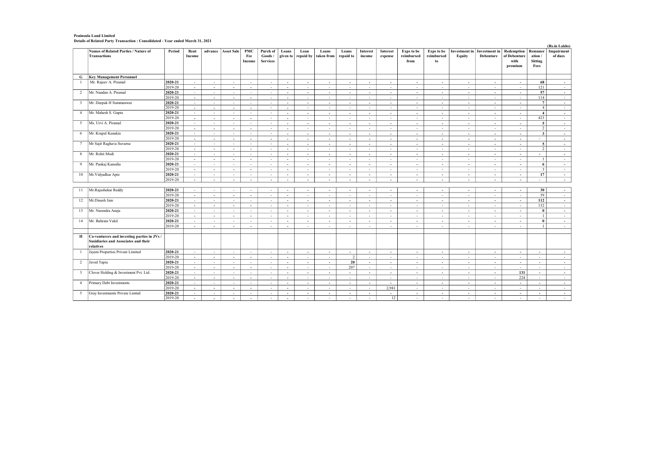#### Peninsula Land Limited Details of Related Party Transaction : Consolidated - Year ended March 31, 2021

|                         | Names of Related Parties / Nature of<br>Transactions | Period             | Rent<br>Income | advance                     | <b>Asset Sale</b> | <b>PMC</b><br>Fee<br>Income | Purch of<br>Goods /<br><b>Services</b> | Loans  | Loan<br>given to   repaid by | Loans<br>taken from | Loans<br>repaid to | Interest<br>income | Interest<br>expense | Exps to be<br>reimbursed<br>from | Exps to be<br>reimbursed<br>to | Equity | Investment in   Investment in<br>Debenture | Redemption<br>of Debenture<br>with<br>premium | Remuner<br>ation /<br><b>Sitting</b><br>Fees | (IS.III Larus<br>Impairment<br>of dues |
|-------------------------|------------------------------------------------------|--------------------|----------------|-----------------------------|-------------------|-----------------------------|----------------------------------------|--------|------------------------------|---------------------|--------------------|--------------------|---------------------|----------------------------------|--------------------------------|--------|--------------------------------------------|-----------------------------------------------|----------------------------------------------|----------------------------------------|
| G                       | <b>Key Management Personnel</b>                      |                    |                |                             |                   |                             |                                        |        |                              |                     |                    |                    |                     |                                  |                                |        |                                            |                                               |                                              |                                        |
|                         | Mr. Rajeev A. Piramal                                | 2020-21            | $\sim$         | $\sim$                      | $\sim$            | $\sim$                      | $\sim$                                 | $\sim$ | $\sim$                       | $\sim$              | $\sim$             | $\sim$             | $\sim$              | $\sim$                           | $\sim$                         | $\sim$ | $\sim$                                     | $\sim$                                        | 68                                           | $\sim$                                 |
|                         |                                                      | 2019-20            | $\sim$         | $\sim$                      | . п.              | ٠                           | $\sim$                                 | $\sim$ | $\sim$                       | $\sim$              | $\sim$             | $\sim$             | $\sim$              | $\overline{a}$                   | $\sim$                         | $\sim$ | $\sim$                                     | $\sim$                                        | 121                                          | $\sim$                                 |
| $\overline{2}$          | Mr. Nandan A. Piramal                                | 2020-21            | $\sim$         | $\sim$                      | $\sim$            | $\sim$                      | $\sim$                                 | $\sim$ | $\sim$                       | $\sim$              | $\sim$             | $\sim$             | $\sim$              | $\sim$                           | $\sim$                         | $\sim$ | $\sim$                                     | $\sim$                                        | 57                                           | $\sim$                                 |
|                         |                                                      | 2019-20            | $\sim$         | $\sim$                      | $\sim$            | $\sim$                      | $\sim$                                 | $\sim$ | $\sim$                       | $\sim$              | $\sim$             | $\sim$             | $\sim$              | $\sim$                           | $\sim$                         | $\sim$ | $\sim$                                     | $\sim$                                        | 114                                          | $\sim$                                 |
| $\overline{\mathbf{3}}$ | Mr. Deepak H Summanwar                               | 2020-21            | $\sim$         | $\sim$                      | $\sim$            | $\sim$                      | $\sim$                                 | $\sim$ | $\sim$                       | $\sim$              | $\sim$             | $\sim$             | $\sim$              | $\sim$                           | $\sim$                         | $\sim$ | $\sim$                                     | $\sim$                                        | $7\phantom{.0}$                              | $\sim$                                 |
|                         |                                                      | 2019-20            | $\sim$         | $\sim$                      | $\sim$            | $\sim$                      | $\sim$                                 | $\sim$ | $\sim$                       | $\sim$              | $\sim$             | $\sim$             | $\sim$              | $\sim$                           | $\sim$                         | $\sim$ | $\sim$                                     | $\sim$                                        | $\overline{4}$                               | $\sim$                                 |
| $\overline{4}$          | Mr. Mahesh S. Gupta                                  | 2020-21            | $\sim$         | $\sim$                      | $\sim$            | $\sim$                      | $\sim$                                 | $\sim$ | $\sim$                       | $\sim$              | ×.                 | $\sim$             | $\sim$              | $\sim$                           | $\sim$                         | $\sim$ | $\sim$                                     | $\sim$                                        | $\overline{4}$                               | $\sim$                                 |
|                         |                                                      | 2019-20            | $\sim$         | $\sim$                      | $\sim$            | $\sim$                      | $\sim$                                 | $\sim$ | $\sim$                       | $\sim$              | $\sim$             | $\sim$             | $\sim$              | $\sim$                           | $\sim$                         | $\sim$ | $\sim$                                     | $\sim$                                        | 423                                          | $\sim$                                 |
| 5 <sup>5</sup>          | Ms. Urvi A. Piramal                                  | 2020-21            | $\sim$         | $\sim$                      | $\sim$            | $\sim$                      | $\sim$                                 | $\sim$ | $\sim$                       | $\sim$              | $\sim$             | $\sim$             | $\sim$              | $\sim$                           | $\sim$                         | $\sim$ | $\sim$                                     | $\sim$                                        | 5                                            | $\sim$                                 |
|                         |                                                      | 2019-20            | $\sim$         | $\sim$                      | $\sim$            | $\sim$                      | $\sim$                                 | $\sim$ | $\sim$                       | $\sim$              | $\sim$             | $\sim$             | $\sim$              | $\sim$                           | $\sim$                         | $\sim$ | $\sim$                                     | $\sim$                                        | $\overline{2}$                               | $\sim$                                 |
| 6                       | Mr. Krupal Kanakia                                   | 2020-21            | $\sim$         | $\sim$                      | $\sim$            | $\sim$                      | $\sim$                                 | $\sim$ | $\sim$                       | $\sim$              | $\sim$             | $\sim$             | $\sim$              | $\sim$                           | $\sim$                         | $\sim$ | $\sim$                                     | $\sim$                                        | $\mathbf{3}$                                 | $\sim$                                 |
|                         |                                                      | 2019-20            | $\sim$         | $\sim$                      | $\sim$            | $\sim$                      | $\overline{a}$                         | $\sim$ | $\sim$                       | $\sim$              | $\sim$             | $\sim$             | $\sim$              | $\sim$                           | $\sim$                         | $\sim$ | $\sim$                                     | $\sim$                                        | $\sim$                                       | $\sim$                                 |
| $7\phantom{.0}$         | Mr Sajit Raghava Suvarna                             | 2020-21            | $\sim$         | $\sim$                      | $\sim$            | $\sim$                      | $\sim$                                 | $\sim$ | $\sim$                       | $\sim$              | $\sim$             | $\sim$             | $\sim$              | $\sim$                           | $\sim$                         | $\sim$ | $\sim$                                     | $\sim$                                        | 5 <sup>1</sup>                               | $\sim$                                 |
|                         |                                                      | 2019-20            | $\sim$         | $\sim$                      | . п.              | $\sim$                      | $\overline{a}$                         | $\sim$ | $\sim$                       | $\sim$              | $\sim$             | $\sim$             | $\sim$              | $\sim$                           | $\sim$                         | $\sim$ | $\sim$                                     | $\sim$                                        | 2                                            | $\sim$                                 |
| 8                       | Mr. Rohit Modi                                       | 2020-21            | $\sim$         | $\sim$                      | $\sim$            | $\sim$                      | $\sim$                                 | $\sim$ | $\sim$                       | $\sim$              | $\sim$             | $\sim$             | $\sim$              | $\sim$                           | $\sim$                         | $\sim$ | $\sim$                                     | $\sim$                                        | $\sim$                                       | $\sim$                                 |
|                         |                                                      | 2019-20            | $\sim$         | $\sim$                      | $\sim$            | ÷.                          | $\sim$                                 | $\sim$ | $\sim$                       | $\sim$              | $\sim$             | $\sim$             | $\sim$              | $\sim$                           | $\sim$                         | $\sim$ | $\sim$                                     | $\sim$                                        | $\mathbf{1}$                                 | $\sim$                                 |
| 9                       | Mr. Pankaj Kanodia                                   | 2020-21            | $\sim$         | $\sim$                      | $\sim$            | $\sim$                      | $\sim$                                 | $\sim$ | $\sim$                       | $\sim$              | $\sim$             | $\sim$             | $\sim$              | $\sim$                           | $\sim$                         | $\sim$ | $\sim$                                     | ٠                                             | 6                                            | $\sim$                                 |
|                         |                                                      | 2019-20            | $\sim$         | $\sim$                      | $\sim$            | ٠                           | $\sim$                                 | $\sim$ | $\sim$                       | $\sim$              | $\sim$             | $\sim$             | $\sim$              | $\sim$                           | $\sim$                         | $\sim$ | $\sim$                                     | $\sim$                                        | $\overline{3}$                               | $\sim$                                 |
| 10                      | Mr. Vidyadhar Apte                                   | 2020-21            | $\sim$         | $\sim$                      | $\sim$            | $\sim$                      | $\overline{\phantom{a}}$               | $\sim$ | $\sim$                       | $\sim$              | $\sim$             | $\sim$             | $\sim$              | $\sim$                           | $\sim$                         | $\sim$ | $\sim$                                     | $\sim$                                        | 17                                           | $\sim$                                 |
|                         |                                                      | 2019-20            | a.             | ×.                          | $\sim$            | ×.                          | ÷.                                     | $\sim$ | ×.                           | ٠                   | ×.                 | ×.                 |                     |                                  |                                | $\sim$ | $\sim$                                     | $\sim$                                        | $\sim$                                       | $\sim$                                 |
|                         |                                                      |                    |                |                             |                   |                             |                                        |        |                              |                     |                    |                    |                     |                                  |                                |        |                                            |                                               |                                              |                                        |
| 11                      | Mr.Rajashekar Reddy                                  | 2020-21            | $\sim$         | $\mathcal{L}_{\mathcal{A}}$ | $\sim$            | ٠                           | $\overline{\phantom{a}}$               | $\sim$ | ٠                            | $\sim$              | ٠                  | $\sim$             | $\sim$              | $\sim$                           | $\sim$                         | $\sim$ | $\sim$                                     | ٠                                             | 30                                           | $\sim$                                 |
|                         |                                                      | 2019-20            | $\sim$         | $\sim$                      | $\sim$            | $\sim$                      | $\sim$                                 | $\sim$ | $\sim$                       | $\sim$              | $\sim$             | ×                  | $\sim$              | $\sim$                           | $\sim$                         | $\sim$ | $\sim$                                     | $\sim$                                        | 59                                           | $\sim$                                 |
| 12                      | Mr.Dinesh Jain                                       | 2020-21            | $\sim$         | $\sim$                      | $\sim$            | ÷.                          | $\sim$                                 | $\sim$ | $\sim$                       | $\sim$              | $\sim$             | $\sim$             | $\sim$              | $\sim$                           | $\sim$                         | $\sim$ | $\sim$                                     | $\sim$                                        | 112                                          | $\sim$                                 |
|                         |                                                      | 2019-20            | $\sim$         | $\sim$                      | $\sim$            | $\sim$                      | $\sim$                                 | $\sim$ | $\sim$                       | $\sim$              | $\sim$             | $\sim$             | $\sim$              | $\sim$                           | $\sim$                         | $\sim$ | $\sim$                                     | $\sim$                                        | 132                                          | $\sim$                                 |
| 13                      | Mr. Narendra Aneja                                   | 2020-21            | $\sim$         | $\sim$                      | $\sim$            | $\sim$                      | $\sim$                                 | $\sim$ | $\sim$                       | $\sim$              | $\sim$             | $\sim$             | $\sim$              | $\sim$                           | $\sim$                         | $\sim$ | $\sim$                                     | $\sim$                                        | $\bf{0}$                                     | $\sim$                                 |
|                         |                                                      | 2019-20            | $\sim$         | $\sim$                      | $\sim$            | $\sim$                      | $\sim$                                 | $\sim$ | $\sim$                       | $\sim$              | $\sim$             | $\sim$             | $\sim$              | $\overline{a}$                   | $\sim$                         | $\sim$ | $\sim$                                     | $\sim$                                        |                                              | $\sim$                                 |
| 14                      | Mr. Bahram Vakil                                     | 2020-21<br>2019-20 | $\sim$         | $\sim$                      | $\sim$            | $\sim$                      | $\sim$                                 | $\sim$ | $\sim$                       | $\sim$              | $\sim$             | $\sim$             | $\sim$              | $\sim$                           | $\sim$                         | $\sim$ | $\sim$                                     | $\sim$                                        | $\bf{0}$                                     | $\sim$                                 |
|                         |                                                      |                    | $\sim$         | $\sim$                      | $\sim$            | $\sim$                      | $\sim$                                 | $\sim$ | $\sim$                       | $\sim$              | $\sim$             | $\sim$             | $\sim$              | $\sim$                           | $\sim$                         | $\sim$ | $\sim$                                     | a.                                            |                                              | $\sim$                                 |
| Н                       | Co-venturers and investing parties in JVs /          |                    |                |                             |                   |                             |                                        |        |                              |                     |                    |                    |                     |                                  |                                |        |                                            |                                               |                                              |                                        |
|                         | Susidiaries and Associates and their<br>relatives    |                    |                |                             |                   |                             |                                        |        |                              |                     |                    |                    |                     |                                  |                                |        |                                            |                                               |                                              |                                        |
|                         | Jayem Properties Private Limited                     | 2020-21            | $\sim$         | $\sim$                      | $\sim$            | $\sim$                      | $\overline{\phantom{a}}$               | $\sim$ | $\sim$                       | $\sim$              | $\sim$             | $\sim$             | $\sim$              | $\sim$                           | $\sim$                         | $\sim$ | $\sim$                                     | $\sim$                                        | $\sim$                                       | $\sim$                                 |
|                         |                                                      | 2019-20            | $\sim$         | $\sim$                      | $\sim$            | $\sim$                      | $\sim$                                 | $\sim$ | $\sim$                       | $\sim$              | $\overline{2}$     | $\sim$             | $\sim$              | $\sim$                           | $\sim$                         | $\sim$ | $\sim$                                     | $\sim$                                        | $\sim$                                       | $\sim$                                 |
| $\overline{2}$          | Javed Tapia                                          | 2020-21            | $\sim$         | $\sim$                      | $\sim$            | $\sim$                      | $\sim$                                 | $\sim$ | $\sim$                       | $\sim$              | 20                 | $\sim$             | $\sim$              | $\sim$                           | $\sim$                         | $\sim$ | $\sim$                                     | $\sim$                                        | $\sim$                                       | $\sim$                                 |
|                         |                                                      | 2019-20            | $\sim$         | $\sim$                      | $\sim$            | . п.                        | $\sim$                                 | $\sim$ | $\sim$                       | $\sim$              | 207                | $\sim$             | $\sim$              | $\sim$                           | $\sim$                         | $\sim$ | $\sim$                                     | $\sim$                                        | $\sim$                                       | $\sim$                                 |
| $\overline{\mathbf{3}}$ | Clover Holding & Investment Pvt. Ltd.                | 2020-21            | $\sim$         | $\sim$                      | $\sim$            | $\sim$                      | $\sim$                                 | $\sim$ | $\sim$                       | $\sim$              | $\sim$             | $\sim$             | $\sim$              | $\sim$                           | $\sim$                         | $\sim$ | $\sim$                                     | 131                                           | $\sim$                                       | $\sim$                                 |
|                         |                                                      | 2019-20            | $\sim$         | $\sim$                      | $\sim$            | $\sim$                      | $\sim$                                 | $\sim$ | $\sim$                       | $\sim$              | $\sim$             | $\sim$             | $\sim$              | $\sim$                           | $\sim$                         | $\sim$ | $\sim$                                     | 224                                           | $\sim$                                       | $\sim$                                 |
| 4                       | Primary Debt Investments                             | 2020-21            | $\sim$         | $\sim$                      | $\sim$            | $\sim$                      | $\sim$                                 | $\sim$ | $\sim$                       | $\sim$              | $\sim$             | $\sim$             | $\sim$              | $\sim$                           | $\sim$                         | $\sim$ | $\sim$                                     | $\sim$                                        | $\sim$                                       | $\sim$                                 |
|                         |                                                      | 2019-20            | $\sim$         | $\sim$                      | $\sim$            | $\sim$                      | $\sim$                                 | $\sim$ | $\sim$                       | $\sim$              | $\sim$             | $\sim$             | 2,941               | $\sim$                           | $\sim$                         | $\sim$ | $\sim$                                     | $\sim$                                        | $\sim$                                       | $\sim$                                 |
| 5 <sup>5</sup>          | Gray Investments Private Limted                      | 2020-21            | $\sim$         | $\sim$                      | $\sim$            | $\sim$                      | $\sim$                                 | $\sim$ | $\sim$                       | $\sim$              | $\sim$             | $\sim$             | $\sim$              | $\sim$                           | $\sim$                         | $\sim$ | $\sim$                                     | $\sim$                                        | $\sim$                                       | $\sim$                                 |
|                         |                                                      | 2019-20            | $\sim$         | ×.                          | a.                | ×.                          | . —                                    | a.     | a.                           | $\sim$              | a.                 | $\sim$             | 12                  | in 1919.                         | $\sim$                         | a.     | a.                                         | a.                                            | a.                                           | $\sim$                                 |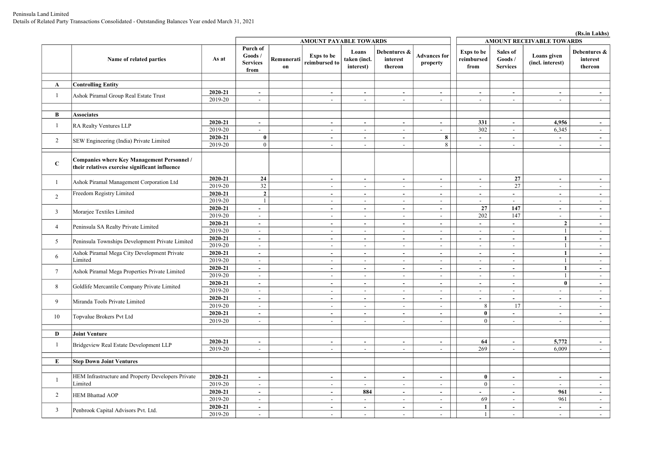## Peninsula Land Limited Details of Related Party Transactions Consolidated - Outstanding Balances Year ended March 31, 2021

|                 |                                                                                              |                    |                                                      |                  | <b>AMOUNT PAYABLE TOWARDS</b>      |                                    | (ІЛУЛІІ ІЛЯКІІУ)<br><b>AMOUNT RECEIVABLE TOWARDS</b> |                                                      |                                         |                                            |                                 |                                                      |
|-----------------|----------------------------------------------------------------------------------------------|--------------------|------------------------------------------------------|------------------|------------------------------------|------------------------------------|------------------------------------------------------|------------------------------------------------------|-----------------------------------------|--------------------------------------------|---------------------------------|------------------------------------------------------|
|                 | Name of related parties                                                                      | As at              | Purch of<br>Goods<br><b>Services</b><br>from         | Remunerati<br>on | <b>Exps to be</b><br>reimbursed to | Loans<br>taken (incl.<br>interest) | Debentures &<br>interest<br>thereon                  | <b>Advances for</b><br>property                      | <b>Exps to be</b><br>reimbursed<br>from | Sales of<br>Goods /<br><b>Services</b>     | Loans given<br>(incl. interest) | Debentures &<br>interest<br>thereon                  |
|                 |                                                                                              |                    |                                                      |                  |                                    |                                    |                                                      |                                                      |                                         |                                            |                                 |                                                      |
| $\mathbf{A}$    | <b>Controlling Entity</b>                                                                    |                    |                                                      |                  |                                    |                                    |                                                      |                                                      |                                         |                                            |                                 |                                                      |
| $\mathbf{1}$    | Ashok Piramal Group Real Estate Trust                                                        | 2020-21<br>2019-20 | $\blacksquare$<br>$\overline{\phantom{a}}$           |                  | $\overline{\phantom{a}}$<br>$\sim$ | $\sim$<br>$\blacksquare$           | $\blacksquare$<br>$\overline{a}$                     | $\overline{\phantom{a}}$<br>$\overline{\phantom{a}}$ | $\sim$<br>$\overline{\phantom{a}}$      | $\blacksquare$<br>$\sim$                   | $\sim$<br>$\sim$                | $\overline{\phantom{a}}$<br>$\overline{\phantom{a}}$ |
| B               |                                                                                              |                    |                                                      |                  |                                    |                                    |                                                      |                                                      |                                         |                                            |                                 |                                                      |
|                 | <b>Associates</b>                                                                            | 2020-21            | $\overline{a}$                                       |                  |                                    | $\sim$                             | $\sim$                                               | $\overline{a}$                                       | 331                                     | $\sim$                                     | 4,956                           | $\sim$                                               |
| $\mathbf{1}$    | RA Realty Ventures LLP                                                                       | 2019-20            | $\blacksquare$                                       |                  | $\overline{\phantom{a}}$<br>$\sim$ |                                    | $\blacksquare$                                       | $\sim$                                               | 302                                     | $\sim$                                     |                                 | $\sim$                                               |
|                 |                                                                                              |                    | $\bf{0}$                                             |                  | $\sim$                             | $\overline{\phantom{a}}$           | $\sim$                                               |                                                      | $\sim$                                  | $\sim$                                     | 6,345<br>$\sim$                 | $\sim$                                               |
| $\overline{2}$  | SEW Engineering (India) Private Limited                                                      | 2020-21<br>2019-20 | $\overline{0}$                                       |                  | $\sim$                             | $\sim$<br>$\sim$                   | $\sim$                                               | 8<br>8                                               | $\sim$                                  | $\sim$                                     | $\sim$                          | $\sim$                                               |
| $\mathbf C$     | Companies where Key Management Personnel /<br>their relatives exercise significant influence |                    |                                                      |                  |                                    |                                    |                                                      |                                                      |                                         |                                            |                                 |                                                      |
|                 |                                                                                              | 2020-21            | 24                                                   |                  | $\sim$                             | $\sim$                             | $\sim$                                               | $\overline{a}$                                       | $\sim$                                  | 27                                         | $\sim$                          | $\sim$                                               |
| $\mathbf{1}$    | Ashok Piramal Management Corporation Ltd                                                     | 2019-20            | $\overline{32}$                                      |                  | $\sim$                             | $\sim$                             | $\sim$                                               | $\sim$                                               | $\sim$                                  | 27                                         | $\sim$                          | $\sim$                                               |
| $\overline{2}$  | Freedom Registry Limited                                                                     | 2020-21            | $\overline{2}$                                       |                  | $\sim$                             | $\overline{\phantom{a}}$           | $\overline{\phantom{a}}$                             | $\sim$                                               | $\sim$                                  | $\sim$                                     | $\sim$                          | $\sim$                                               |
|                 |                                                                                              | 2019-20            | $\overline{1}$                                       |                  | $\sim$                             | $\overline{\phantom{a}}$           | $\sim$                                               | $\sim$                                               | $\sim$                                  | $\overline{\phantom{a}}$                   | $\sim$                          | $\sim$                                               |
| $\mathbf{3}$    | Morarjee Textiles Limited                                                                    | 2020-21            | $\overline{\phantom{a}}$                             |                  | $\sim$                             | $\overline{\phantom{a}}$           | $\overline{\phantom{a}}$                             | $\sim$                                               | 27                                      | 147                                        | $\sim$                          | $\sim$                                               |
|                 |                                                                                              | 2019-20            | $\blacksquare$                                       |                  | $\sim$                             | $\sim$                             | $\blacksquare$                                       | $\sim$                                               | 202                                     | 147                                        | $\mathcal{L}_{\mathcal{A}}$     | $\sim$                                               |
| $\overline{4}$  | Peninsula SA Realty Private Limited                                                          | 2020-21            | $\overline{\phantom{a}}$                             |                  | $\overline{\phantom{a}}$           | $\overline{\phantom{a}}$           | $\sim$                                               | $\overline{\phantom{a}}$                             | $\sim$                                  | $\overline{\phantom{a}}$                   | $\overline{2}$                  | $\sim$                                               |
|                 |                                                                                              | 2019-20            | $\overline{\phantom{a}}$                             |                  | $\sim$                             | $\overline{\phantom{a}}$           | $\sim$                                               | $\sim$                                               | $\sim$                                  | $\sim$                                     | $\mathbf{1}$                    | $\sim$                                               |
| 5               | Peninsula Townships Development Private Limited                                              | 2020-21            | $\overline{\phantom{a}}$                             |                  | $\sim$                             | $\overline{\phantom{a}}$           | $\overline{\phantom{a}}$                             | $\overline{\phantom{a}}$                             | $\overline{\phantom{a}}$                | $\overline{\phantom{a}}$                   | $\mathbf{1}$                    | $\sim$                                               |
|                 |                                                                                              | 2019-20            | $\overline{\phantom{a}}$                             |                  | $\overline{\phantom{a}}$           | $\overline{\phantom{a}}$           | $\sim$                                               | $\sim$                                               | $\sim$                                  | $\sim$                                     | $\mathbf{1}$                    | $\sim$                                               |
| 6               | Ashok Piramal Mega City Development Private                                                  | 2020-21            | $\blacksquare$                                       |                  | $\sim$                             | $\overline{\phantom{a}}$           | $\blacksquare$                                       | $\sim$                                               | $\overline{\phantom{a}}$                | $\overline{\phantom{a}}$                   | $\mathbf{1}$                    | $\sim$                                               |
|                 | Limited                                                                                      | 2019-20            | $\overline{\phantom{a}}$                             |                  | $\sim$                             | $\sim$                             | $\sim$                                               | $\sim$                                               | $\sim$                                  | $\sim$                                     | $\mathbf{1}$                    | $\sim$                                               |
| $7\overline{ }$ | Ashok Piramal Mega Properties Private Limited                                                | 2020-21            | $\sim$                                               |                  | $\sim$                             | $\sim$                             | $\sim$                                               | $\sim$                                               | $\sim$                                  | $\sim$                                     | $\mathbf{1}$                    | $\sim$                                               |
|                 |                                                                                              | 2019-20<br>2020-21 | $\overline{\phantom{a}}$                             |                  | $\sim$                             | $\sim$                             | $\sim$                                               | $\sim$                                               | $\sim$                                  | $\sim$                                     | $\mathbf{1}$<br>$\bf{0}$        | $\sim$                                               |
| 8               | Goldlife Mercantile Company Private Limited                                                  | 2019-20            | $\overline{\phantom{a}}$                             |                  | $\sim$                             | $\sim$<br>$\sim$                   | $\sim$<br>$\overline{a}$                             | $\sim$                                               | $\sim$                                  | $\sim$                                     | $\sim$                          | $\sim$<br>$\sim$                                     |
|                 |                                                                                              | 2020-21            | $\overline{\phantom{a}}$<br>$\sim$                   |                  | $\blacksquare$<br>$\sim$           | $\blacksquare$                     | $\sim$                                               | $\overline{\phantom{a}}$<br>$\sim$                   | $\blacksquare$<br>$\sim$                | $\overline{\phantom{a}}$<br>$\blacksquare$ | $\sim$                          | $\sim$                                               |
| 9               | Miranda Tools Private Limited                                                                | 2019-20            | $\sim$                                               |                  | $\sim$                             | $\overline{\phantom{a}}$           | $\sim$                                               | $\sim$                                               | 8                                       | 17                                         | $\sim$                          | $\sim$                                               |
|                 |                                                                                              | 2020-21            | $\sim$                                               |                  | $\sim$                             | $\sim$                             | $\sim$                                               | $\sim$                                               | $\bf{0}$                                | $\sim$                                     | $\sim$                          | $\sim$                                               |
| 10              | Topvalue Brokers Pvt Ltd                                                                     | 2019-20            | $\overline{\phantom{a}}$                             |                  | $\sim$                             | $\sim$                             | $\overline{a}$                                       | $\overline{\phantom{a}}$                             | $\overline{0}$                          | $\sim$                                     | $\sim$                          | $\sim$                                               |
|                 |                                                                                              |                    |                                                      |                  |                                    |                                    |                                                      |                                                      |                                         |                                            |                                 |                                                      |
| D               | Joint Venture                                                                                |                    |                                                      |                  |                                    |                                    |                                                      |                                                      |                                         |                                            |                                 |                                                      |
| $\mathbf{1}$    | Bridgeview Real Estate Development LLP                                                       | 2020-21<br>2019-20 | $\overline{\phantom{a}}$<br>$\overline{\phantom{a}}$ |                  | $\sim$<br>$\sim$                   | $\overline{\phantom{a}}$<br>$\sim$ | $\blacksquare$<br>$\sim$                             | $\overline{\phantom{a}}$<br>$\sim$                   | 64<br>269                               | $\overline{\phantom{a}}$<br>$\sim$         | 5,772<br>6,009                  | $\sim$<br>$\sim$                                     |
| E               | <b>Step Down Joint Ventures</b>                                                              |                    |                                                      |                  |                                    |                                    |                                                      |                                                      |                                         |                                            |                                 |                                                      |
|                 |                                                                                              |                    |                                                      |                  |                                    |                                    |                                                      |                                                      |                                         |                                            |                                 |                                                      |
|                 | HEM Infrastructure and Property Developers Private                                           | 2020-21            | $\overline{\phantom{a}}$                             |                  | $\overline{\phantom{a}}$           | $\overline{\phantom{a}}$           | $\sim$                                               | $\overline{\phantom{a}}$                             | $\bf{0}$                                | $\blacksquare$                             | $\sim$                          | $\overline{a}$                                       |
| $\mathbf{1}$    | Limited                                                                                      | 2019-20            | $\blacksquare$                                       |                  | $\blacksquare$                     |                                    | $\blacksquare$                                       | $\overline{\phantom{a}}$                             | $\mathbf{0}$                            | $\overline{\phantom{a}}$                   | $\mathbf{r}$                    | $\sim$                                               |
|                 |                                                                                              | 2020-21            | $\overline{\phantom{a}}$                             |                  | $\sim$                             | 884                                | $\blacksquare$                                       | $\blacksquare$                                       |                                         | $\overline{\phantom{a}}$                   | 961                             | $\sim$                                               |
| 2               | <b>HEM Bhattad AOP</b>                                                                       | 2019-20            | $\overline{\phantom{a}}$                             |                  | $\blacksquare$                     | $\sim$                             | $\overline{\phantom{a}}$                             | $\blacksquare$                                       | 69                                      | $\overline{\phantom{a}}$                   | 961                             | $\sim$                                               |
|                 |                                                                                              | 2020-21            | $\blacksquare$                                       |                  | $\sim$                             | $\sim$                             | $\blacksquare$                                       | $\sim$                                               | $\mathbf{1}$                            | $\blacksquare$                             | $\mathbf{r}$                    | $\sim$                                               |
| $\mathbf{3}$    | Penbrook Capital Advisors Pvt. Ltd.                                                          | 2019-20            | $\overline{\phantom{a}}$                             |                  | $\sim$                             | $\sim$                             | $\overline{a}$                                       | $\overline{\phantom{a}}$                             | $\mathbf{1}$                            | $\overline{a}$                             | $\sim$                          | $\sim$                                               |
|                 |                                                                                              |                    |                                                      |                  |                                    |                                    |                                                      |                                                      |                                         |                                            |                                 |                                                      |